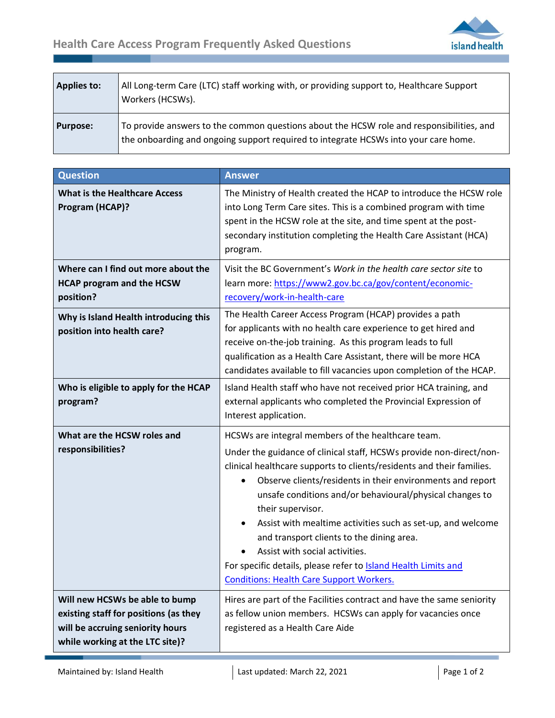.



| <b>Applies to:</b> | All Long-term Care (LTC) staff working with, or providing support to, Healthcare Support<br>Workers (HCSWs).                                                                    |
|--------------------|---------------------------------------------------------------------------------------------------------------------------------------------------------------------------------|
| <b>Purpose:</b>    | To provide answers to the common questions about the HCSW role and responsibilities, and<br>the onboarding and ongoing support required to integrate HCSWs into your care home. |

| <b>Question</b>                                                                                                                                | <b>Answer</b>                                                                                                                                                                                                                                                                                                                                                                                                                                                                                                                                                                                                                            |
|------------------------------------------------------------------------------------------------------------------------------------------------|------------------------------------------------------------------------------------------------------------------------------------------------------------------------------------------------------------------------------------------------------------------------------------------------------------------------------------------------------------------------------------------------------------------------------------------------------------------------------------------------------------------------------------------------------------------------------------------------------------------------------------------|
| <b>What is the Healthcare Access</b><br>Program (HCAP)?                                                                                        | The Ministry of Health created the HCAP to introduce the HCSW role<br>into Long Term Care sites. This is a combined program with time<br>spent in the HCSW role at the site, and time spent at the post-<br>secondary institution completing the Health Care Assistant (HCA)<br>program.                                                                                                                                                                                                                                                                                                                                                 |
| Where can I find out more about the<br><b>HCAP program and the HCSW</b><br>position?                                                           | Visit the BC Government's Work in the health care sector site to<br>learn more: https://www2.gov.bc.ca/gov/content/economic-<br>recovery/work-in-health-care                                                                                                                                                                                                                                                                                                                                                                                                                                                                             |
| Why is Island Health introducing this<br>position into health care?                                                                            | The Health Career Access Program (HCAP) provides a path<br>for applicants with no health care experience to get hired and<br>receive on-the-job training. As this program leads to full<br>qualification as a Health Care Assistant, there will be more HCA<br>candidates available to fill vacancies upon completion of the HCAP.                                                                                                                                                                                                                                                                                                       |
| Who is eligible to apply for the HCAP<br>program?                                                                                              | Island Health staff who have not received prior HCA training, and<br>external applicants who completed the Provincial Expression of<br>Interest application.                                                                                                                                                                                                                                                                                                                                                                                                                                                                             |
| What are the HCSW roles and<br>responsibilities?                                                                                               | HCSWs are integral members of the healthcare team.<br>Under the guidance of clinical staff, HCSWs provide non-direct/non-<br>clinical healthcare supports to clients/residents and their families.<br>Observe clients/residents in their environments and report<br>unsafe conditions and/or behavioural/physical changes to<br>their supervisor.<br>Assist with mealtime activities such as set-up, and welcome<br>$\bullet$<br>and transport clients to the dining area.<br>Assist with social activities.<br>For specific details, please refer to <b>Island Health Limits and</b><br><b>Conditions: Health Care Support Workers.</b> |
| Will new HCSWs be able to bump<br>existing staff for positions (as they<br>will be accruing seniority hours<br>while working at the LTC site)? | Hires are part of the Facilities contract and have the same seniority<br>as fellow union members. HCSWs can apply for vacancies once<br>registered as a Health Care Aide                                                                                                                                                                                                                                                                                                                                                                                                                                                                 |